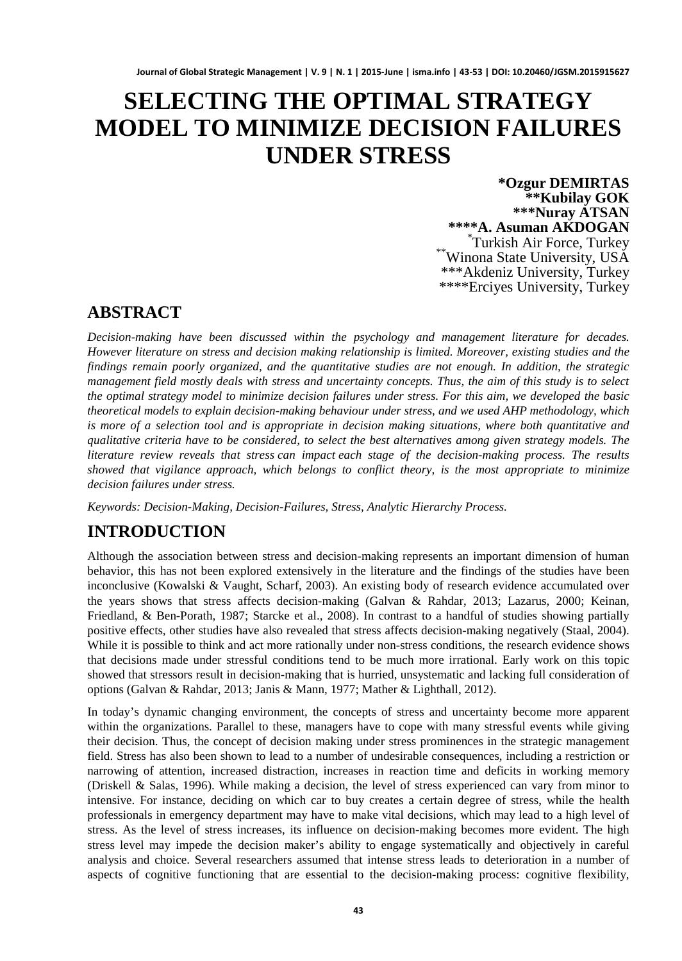# **SELECTING THE OPTIMAL STRATEGY MODEL TO MINIMIZE DECISION FAILURES UNDER STRESS**

**\*Ozgur DEMIRTAS \*\*Kubilay GOK \*\*\*Nuray ATSAN \*\*\*\*A. Asuman AKDOGAN** \* Turkish Air Force, Turkey \*\* Winona State University, USA \*\*\*Akdeniz University, Turkey \*\*\*\*Erciyes University, Turkey

### **ABSTRACT**

*Decision-making have been discussed within the psychology and management literature for decades. However literature on stress and decision making relationship is limited. Moreover, existing studies and the findings remain poorly organized, and the quantitative studies are not enough. In addition, the strategic management field mostly deals with stress and uncertainty concepts. Thus, the aim of this study is to select the optimal strategy model to minimize decision failures under stress. For this aim, we developed the basic theoretical models to explain decision-making behaviour under stress, and we used AHP methodology, which is more of a selection tool and is appropriate in decision making situations, where both quantitative and qualitative criteria have to be considered, to select the best alternatives among given strategy models. The literature review reveals that stress can impact each stage of the decision-making process. The results showed that vigilance approach, which belongs to conflict theory, is the most appropriate to minimize decision failures under stress.* 

*Keywords: Decision-Making, Decision-Failures, Stress, Analytic Hierarchy Process.*

# **INTRODUCTION**

Although the association between stress and decision-making represents an important dimension of human behavior, this has not been explored extensively in the literature and the findings of the studies have been inconclusive (Kowalski & Vaught, Scharf, 2003). An existing body of research evidence accumulated over the years shows that stress affects decision-making (Galvan & Rahdar, 2013; Lazarus, 2000; Keinan, Friedland, & Ben-Porath, 1987; Starcke et al., 2008). In contrast to a handful of studies showing partially positive effects, other studies have also revealed that stress affects decision-making negatively (Staal, 2004). While it is possible to think and act more rationally under non-stress conditions, the research evidence shows that decisions made under stressful conditions tend to be much more irrational. Early work on this topic showed that stressors result in decision-making that is hurried, unsystematic and lacking full consideration of options (Galvan & Rahdar, 2013; Janis & Mann, 1977; Mather & Lighthall, 2012).

In today's dynamic changing environment, the concepts of stress and uncertainty become more apparent within the organizations. Parallel to these, managers have to cope with many stressful events while giving their decision. Thus, the concept of decision making under stress prominences in the strategic management field. Stress has also been shown to lead to a number of undesirable consequences, including a restriction or narrowing of attention, increased distraction, increases in reaction time and deficits in working memory (Driskell & Salas, 1996). While making a decision, the level of stress experienced can vary from minor to intensive. For instance, deciding on which car to buy creates a certain degree of stress, while the health professionals in emergency department may have to make vital decisions, which may lead to a high level of stress. As the level of stress increases, its influence on decision-making becomes more evident. The high stress level may impede the decision maker's ability to engage systematically and objectively in careful analysis and choice. Several researchers assumed that intense stress leads to deterioration in a number of aspects of cognitive functioning that are essential to the decision-making process: cognitive flexibility,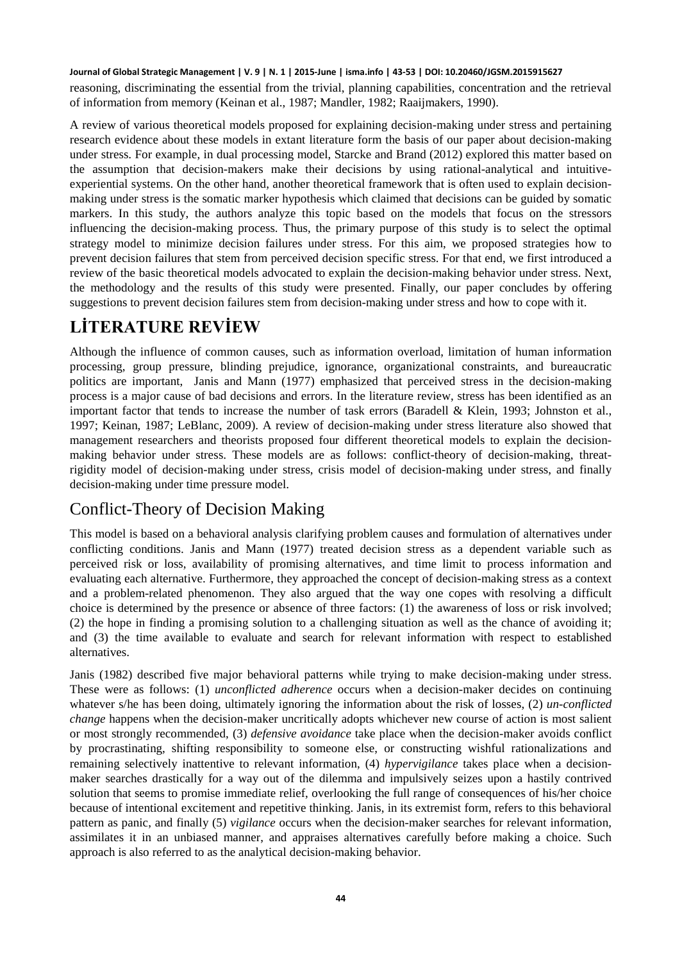reasoning, discriminating the essential from the trivial, planning capabilities, concentration and the retrieval of information from memory (Keinan et al., 1987; Mandler, 1982; Raaijmakers, 1990).

A review of various theoretical models proposed for explaining decision-making under stress and pertaining research evidence about these models in extant literature form the basis of our paper about decision-making under stress. For example, in dual processing model, Starcke and Brand (2012) explored this matter based on the assumption that decision-makers make their decisions by using rational-analytical and intuitiveexperiential systems. On the other hand, another theoretical framework that is often used to explain decisionmaking under stress is the somatic marker hypothesis which claimed that decisions can be guided by somatic markers. In this study, the authors analyze this topic based on the models that focus on the stressors influencing the decision-making process. Thus, the primary purpose of this study is to select the optimal strategy model to minimize decision failures under stress. For this aim, we proposed strategies how to prevent decision failures that stem from perceived decision specific stress. For that end, we first introduced a review of the basic theoretical models advocated to explain the decision-making behavior under stress. Next, the methodology and the results of this study were presented. Finally, our paper concludes by offering suggestions to prevent decision failures stem from decision-making under stress and how to cope with it.

# **LİTERATURE REVİEW**

Although the influence of common causes, such as information overload, limitation of human information processing, group pressure, blinding prejudice, ignorance, organizational constraints, and bureaucratic politics are important, Janis and Mann (1977) emphasized that perceived stress in the decision-making process is a major cause of bad decisions and errors. In the literature review, stress has been identified as an important factor that tends to increase the number of task errors (Baradell & Klein, 1993; Johnston et al., 1997; Keinan, 1987; LeBlanc, 2009). A review of decision-making under stress literature also showed that management researchers and theorists proposed four different theoretical models to explain the decisionmaking behavior under stress. These models are as follows: conflict-theory of decision-making, threatrigidity model of decision-making under stress, crisis model of decision-making under stress, and finally decision-making under time pressure model.

#### Conflict-Theory of Decision Making

This model is based on a behavioral analysis clarifying problem causes and formulation of alternatives under conflicting conditions. Janis and Mann (1977) treated decision stress as a dependent variable such as perceived risk or loss, availability of promising alternatives, and time limit to process information and evaluating each alternative. Furthermore, they approached the concept of decision-making stress as a context and a problem-related phenomenon. They also argued that the way one copes with resolving a difficult choice is determined by the presence or absence of three factors: (1) the awareness of loss or risk involved; (2) the hope in finding a promising solution to a challenging situation as well as the chance of avoiding it; and (3) the time available to evaluate and search for relevant information with respect to established alternatives.

Janis (1982) described five major behavioral patterns while trying to make decision-making under stress. These were as follows: (1) *unconflicted adherence* occurs when a decision-maker decides on continuing whatever s/he has been doing, ultimately ignoring the information about the risk of losses, (2) *un-conflicted change* happens when the decision-maker uncritically adopts whichever new course of action is most salient or most strongly recommended, (3) *defensive avoidance* take place when the decision-maker avoids conflict by procrastinating, shifting responsibility to someone else, or constructing wishful rationalizations and remaining selectively inattentive to relevant information, (4) *hypervigilance* takes place when a decisionmaker searches drastically for a way out of the dilemma and impulsively seizes upon a hastily contrived solution that seems to promise immediate relief, overlooking the full range of consequences of his/her choice because of intentional excitement and repetitive thinking. Janis, in its extremist form, refers to this behavioral pattern as panic, and finally (5) *vigilance* occurs when the decision-maker searches for relevant information, assimilates it in an unbiased manner, and appraises alternatives carefully before making a choice. Such approach is also referred to as the analytical decision-making behavior.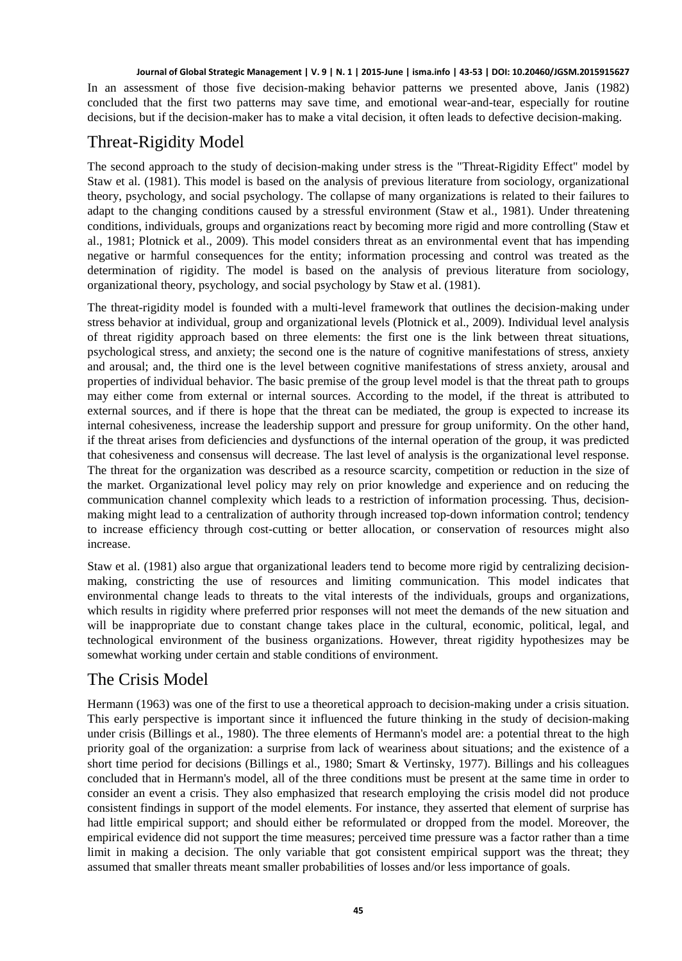In an assessment of those five decision-making behavior patterns we presented above, Janis (1982) concluded that the first two patterns may save time, and emotional wear-and-tear, especially for routine decisions, but if the decision-maker has to make a vital decision, it often leads to defective decision-making.

### Threat-Rigidity Model

The second approach to the study of decision-making under stress is the "Threat-Rigidity Effect" model by Staw et al. (1981). This model is based on the analysis of previous literature from sociology, organizational theory, psychology, and social psychology. The collapse of many organizations is related to their failures to adapt to the changing conditions caused by a stressful environment (Staw et al., 1981). Under threatening conditions, individuals, groups and organizations react by becoming more rigid and more controlling (Staw et al., 1981; Plotnick et al., 2009). This model considers threat as an environmental event that has impending negative or harmful consequences for the entity; information processing and control was treated as the determination of rigidity. The model is based on the analysis of previous literature from sociology, organizational theory, psychology, and social psychology by Staw et al. (1981).

The threat-rigidity model is founded with a multi-level framework that outlines the decision-making under stress behavior at individual, group and organizational levels (Plotnick et al., 2009). Individual level analysis of threat rigidity approach based on three elements: the first one is the link between threat situations, psychological stress, and anxiety; the second one is the nature of cognitive manifestations of stress, anxiety and arousal; and, the third one is the level between cognitive manifestations of stress anxiety, arousal and properties of individual behavior. The basic premise of the group level model is that the threat path to groups may either come from external or internal sources. According to the model, if the threat is attributed to external sources, and if there is hope that the threat can be mediated, the group is expected to increase its internal cohesiveness, increase the leadership support and pressure for group uniformity. On the other hand, if the threat arises from deficiencies and dysfunctions of the internal operation of the group, it was predicted that cohesiveness and consensus will decrease. The last level of analysis is the organizational level response. The threat for the organization was described as a resource scarcity, competition or reduction in the size of the market. Organizational level policy may rely on prior knowledge and experience and on reducing the communication channel complexity which leads to a restriction of information processing. Thus, decisionmaking might lead to a centralization of authority through increased top-down information control; tendency to increase efficiency through cost-cutting or better allocation, or conservation of resources might also increase.

Staw et al. (1981) also argue that organizational leaders tend to become more rigid by centralizing decisionmaking, constricting the use of resources and limiting communication. This model indicates that environmental change leads to threats to the vital interests of the individuals, groups and organizations, which results in rigidity where preferred prior responses will not meet the demands of the new situation and will be inappropriate due to constant change takes place in the cultural, economic, political, legal, and technological environment of the business organizations. However, threat rigidity hypothesizes may be somewhat working under certain and stable conditions of environment.

### The Crisis Model

Hermann (1963) was one of the first to use a theoretical approach to decision-making under a crisis situation. This early perspective is important since it influenced the future thinking in the study of decision-making under crisis (Billings et al., 1980). The three elements of Hermann's model are: a potential threat to the high priority goal of the organization: a surprise from lack of weariness about situations; and the existence of a short time period for decisions (Billings et al., 1980; Smart & Vertinsky, 1977). Billings and his colleagues concluded that in Hermann's model, all of the three conditions must be present at the same time in order to consider an event a crisis. They also emphasized that research employing the crisis model did not produce consistent findings in support of the model elements. For instance, they asserted that element of surprise has had little empirical support; and should either be reformulated or dropped from the model. Moreover, the empirical evidence did not support the time measures; perceived time pressure was a factor rather than a time limit in making a decision. The only variable that got consistent empirical support was the threat; they assumed that smaller threats meant smaller probabilities of losses and/or less importance of goals.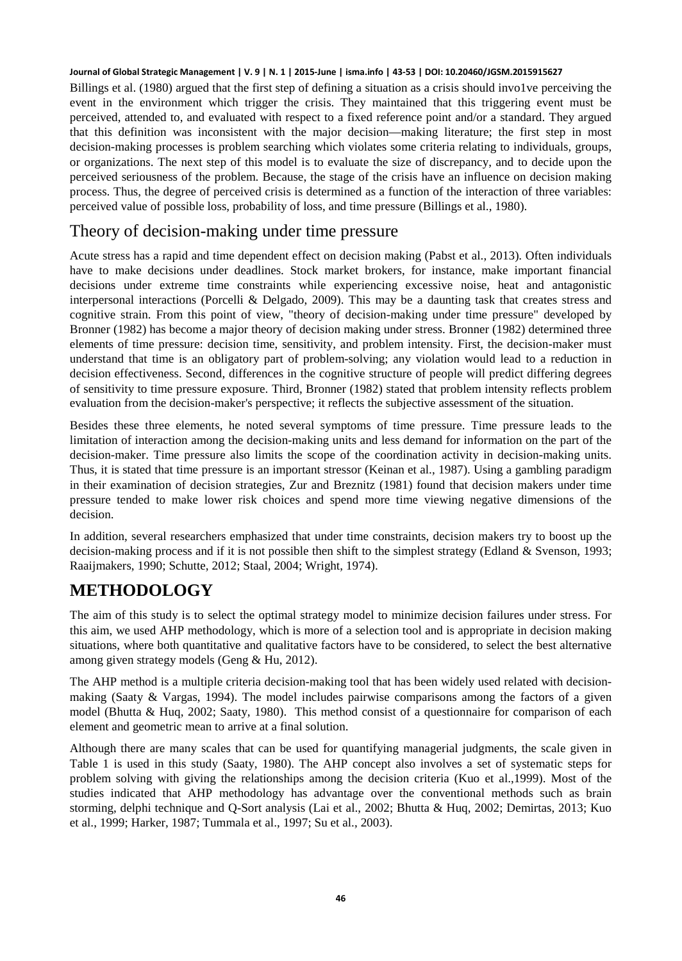Billings et al. (1980) argued that the first step of defining a situation as a crisis should invo1ve perceiving the event in the environment which trigger the crisis. They maintained that this triggering event must be perceived, attended to, and evaluated with respect to a fixed reference point and/or a standard. They argued that this definition was inconsistent with the major decision—making literature; the first step in most decision-making processes is problem searching which violates some criteria relating to individuals, groups, or organizations. The next step of this model is to evaluate the size of discrepancy, and to decide upon the perceived seriousness of the problem. Because, the stage of the crisis have an influence on decision making process. Thus, the degree of perceived crisis is determined as a function of the interaction of three variables: perceived value of possible loss, probability of loss, and time pressure (Billings et al., 1980).

#### Theory of decision-making under time pressure

Acute stress has a rapid and time dependent effect on decision making (Pabst et al., 2013). Often individuals have to make decisions under deadlines. Stock market brokers, for instance, make important financial decisions under extreme time constraints while experiencing excessive noise, heat and antagonistic interpersonal interactions (Porcelli & Delgado, 2009). This may be a daunting task that creates stress and cognitive strain. From this point of view, "theory of decision-making under time pressure" developed by Bronner (1982) has become a major theory of decision making under stress. Bronner (1982) determined three elements of time pressure: decision time, sensitivity, and problem intensity. First, the decision-maker must understand that time is an obligatory part of problem-solving; any violation would lead to a reduction in decision effectiveness. Second, differences in the cognitive structure of people will predict differing degrees of sensitivity to time pressure exposure. Third, Bronner (1982) stated that problem intensity reflects problem evaluation from the decision-maker's perspective; it reflects the subjective assessment of the situation.

Besides these three elements, he noted several symptoms of time pressure. Time pressure leads to the limitation of interaction among the decision-making units and less demand for information on the part of the decision-maker. Time pressure also limits the scope of the coordination activity in decision-making units. Thus, it is stated that time pressure is an important stressor (Keinan et al., 1987). Using a gambling paradigm in their examination of decision strategies, Zur and Breznitz (1981) found that decision makers under time pressure tended to make lower risk choices and spend more time viewing negative dimensions of the decision.

In addition, several researchers emphasized that under time constraints, decision makers try to boost up the decision-making process and if it is not possible then shift to the simplest strategy (Edland & Svenson, 1993; Raaijmakers, 1990; Schutte, 2012; Staal, 2004; Wright, 1974).

# **METHODOLOGY**

The aim of this study is to select the optimal strategy model to minimize decision failures under stress. For this aim, we used AHP methodology, which is more of a selection tool and is appropriate in decision making situations, where both quantitative and qualitative factors have to be considered, to select the best alternative among given strategy models (Geng & Hu, 2012).

The AHP method is a multiple criteria decision-making tool that has been widely used related with decisionmaking (Saaty & Vargas, 1994). The model includes pairwise comparisons among the factors of a given model (Bhutta & Huq, 2002; Saaty, 1980). This method consist of a questionnaire for comparison of each element and geometric mean to arrive at a final solution.

Although there are many scales that can be used for quantifying managerial judgments, the scale given in Table 1 is used in this study (Saaty, 1980). The AHP concept also involves a set of systematic steps for problem solving with giving the relationships among the decision criteria (Kuo et al.,1999). Most of the studies indicated that AHP methodology has advantage over the conventional methods such as brain storming, delphi technique and Q-Sort analysis (Lai et al., 2002; Bhutta & Huq, 2002; Demirtas, 2013; Kuo et al., 1999; Harker, 1987; Tummala et al., 1997; Su et al., 2003).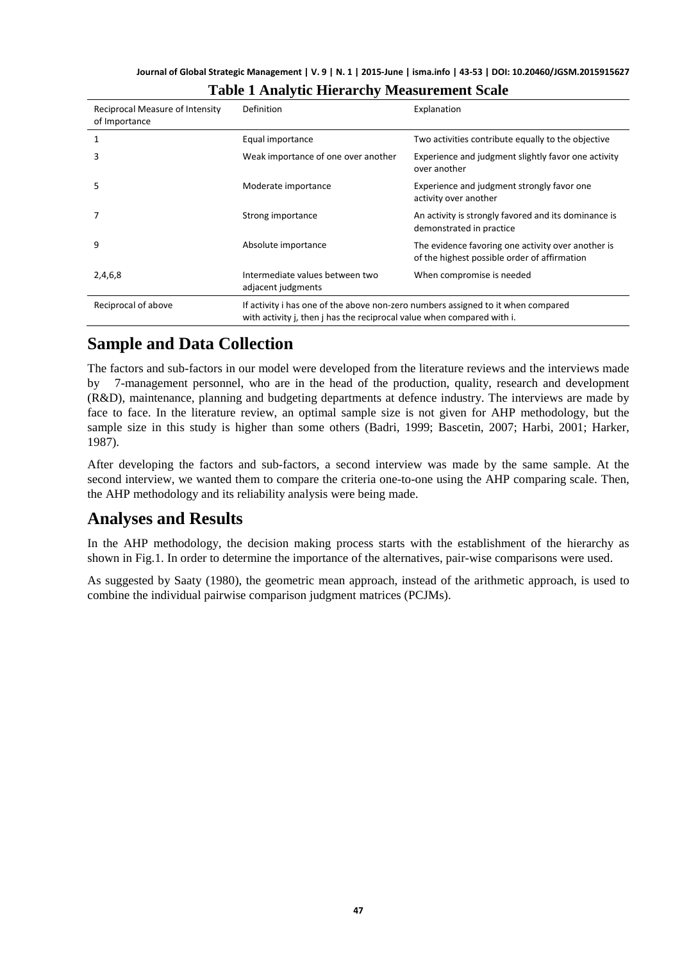| Journal of Global Strategic Management   V. 9   N. 1   2015-June   isma.info   43-53   DOI: 10.20460/JGSM.2015915627 |  |  |  |  |
|----------------------------------------------------------------------------------------------------------------------|--|--|--|--|
|----------------------------------------------------------------------------------------------------------------------|--|--|--|--|

| Reciprocal Measure of Intensity<br>of Importance | Definition                                                                                                                                                 | Explanation                                                                                        |  |
|--------------------------------------------------|------------------------------------------------------------------------------------------------------------------------------------------------------------|----------------------------------------------------------------------------------------------------|--|
|                                                  | Equal importance                                                                                                                                           | Two activities contribute equally to the objective                                                 |  |
| 3                                                | Weak importance of one over another                                                                                                                        | Experience and judgment slightly favor one activity<br>over another                                |  |
| 5                                                | Moderate importance                                                                                                                                        | Experience and judgment strongly favor one<br>activity over another                                |  |
|                                                  | Strong importance                                                                                                                                          | An activity is strongly favored and its dominance is<br>demonstrated in practice                   |  |
| 9                                                | Absolute importance                                                                                                                                        | The evidence favoring one activity over another is<br>of the highest possible order of affirmation |  |
| 2,4,6,8                                          | Intermediate values between two<br>adjacent judgments                                                                                                      | When compromise is needed                                                                          |  |
| Reciprocal of above                              | If activity i has one of the above non-zero numbers assigned to it when compared<br>with activity j, then j has the reciprocal value when compared with i. |                                                                                                    |  |

#### **Table 1 Analytic Hierarchy Measurement Scale**

### **Sample and Data Collection**

The factors and sub-factors in our model were developed from the literature reviews and the interviews made by 7-management personnel, who are in the head of the production, quality, research and development (R&D), maintenance, planning and budgeting departments at defence industry. The interviews are made by face to face. In the literature review, an optimal sample size is not given for AHP methodology, but the sample size in this study is higher than some others (Badri, 1999; Bascetin, 2007; Harbi, 2001; Harker, 1987).

After developing the factors and sub-factors, a second interview was made by the same sample. At the second interview, we wanted them to compare the criteria one-to-one using the AHP comparing scale. Then, the AHP methodology and its reliability analysis were being made.

### **Analyses and Results**

In the AHP methodology, the decision making process starts with the establishment of the hierarchy as shown in Fig.1. In order to determine the importance of the alternatives, pair-wise comparisons were used.

As suggested by Saaty (1980), the geometric mean approach, instead of the arithmetic approach, is used to combine the individual pairwise comparison judgment matrices (PCJMs).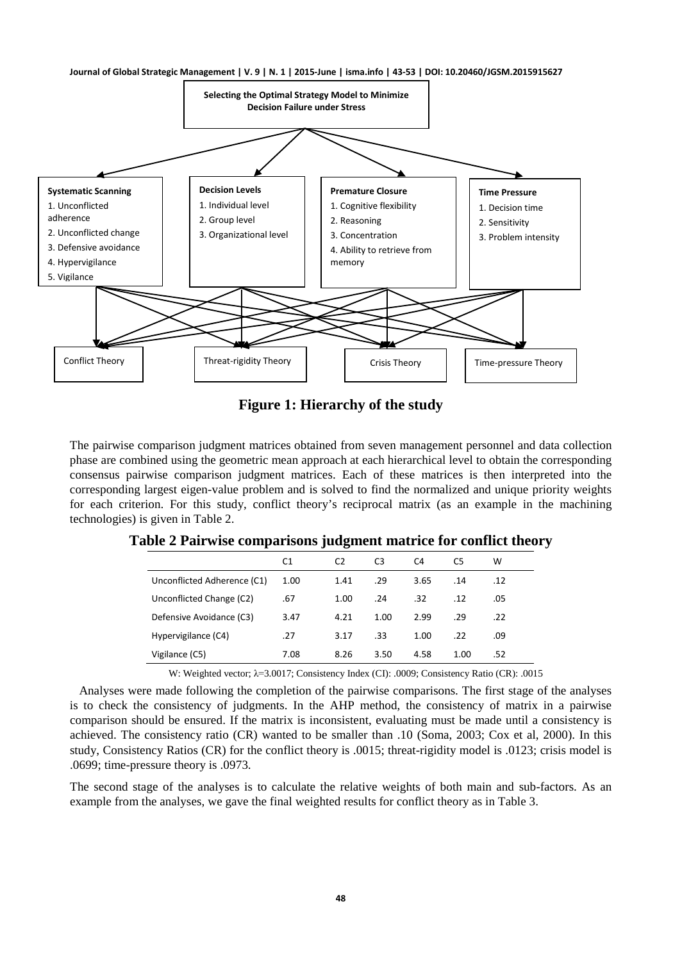

**Figure 1: Hierarchy of the study**

The pairwise comparison judgment matrices obtained from seven management personnel and data collection phase are combined using the geometric mean approach at each hierarchical level to obtain the corresponding consensus pairwise comparison judgment matrices. Each of these matrices is then interpreted into the corresponding largest eigen-value problem and is solved to find the normalized and unique priority weights for each criterion. For this study, conflict theory's reciprocal matrix (as an example in the machining technologies) is given in Table 2.

|                             | C <sub>1</sub> | C <sub>2</sub> | C <sub>3</sub> | C4   | C5   | w   |
|-----------------------------|----------------|----------------|----------------|------|------|-----|
| Unconflicted Adherence (C1) | 1.00           | 1.41           | .29            | 3.65 | .14  | .12 |
| Unconflicted Change (C2)    | .67            | 1.00           | .24            | .32  | .12  | .05 |
| Defensive Avoidance (C3)    | 3.47           | 4.21           | 1.00           | 2.99 | .29  | .22 |
| Hypervigilance (C4)         | .27            | 3.17           | .33            | 1.00 | .22  | .09 |
| Vigilance (C5)              | 7.08           | 8.26           | 3.50           | 4.58 | 1.00 | .52 |

**Table 2 Pairwise comparisons judgment matrice for conflict theory**

W: Weighted vector; λ=3.0017; Consistency Index (CI): .0009; Consistency Ratio (CR): .0015

 Analyses were made following the completion of the pairwise comparisons. The first stage of the analyses is to check the consistency of judgments. In the AHP method, the consistency of matrix in a pairwise comparison should be ensured. If the matrix is inconsistent, evaluating must be made until a consistency is achieved. The consistency ratio (CR) wanted to be smaller than .10 (Soma, 2003; Cox et al, 2000). In this study, Consistency Ratios (CR) for the conflict theory is .0015; threat-rigidity model is .0123; crisis model is .0699; time-pressure theory is .0973.

The second stage of the analyses is to calculate the relative weights of both main and sub-factors. As an example from the analyses, we gave the final weighted results for conflict theory as in Table 3.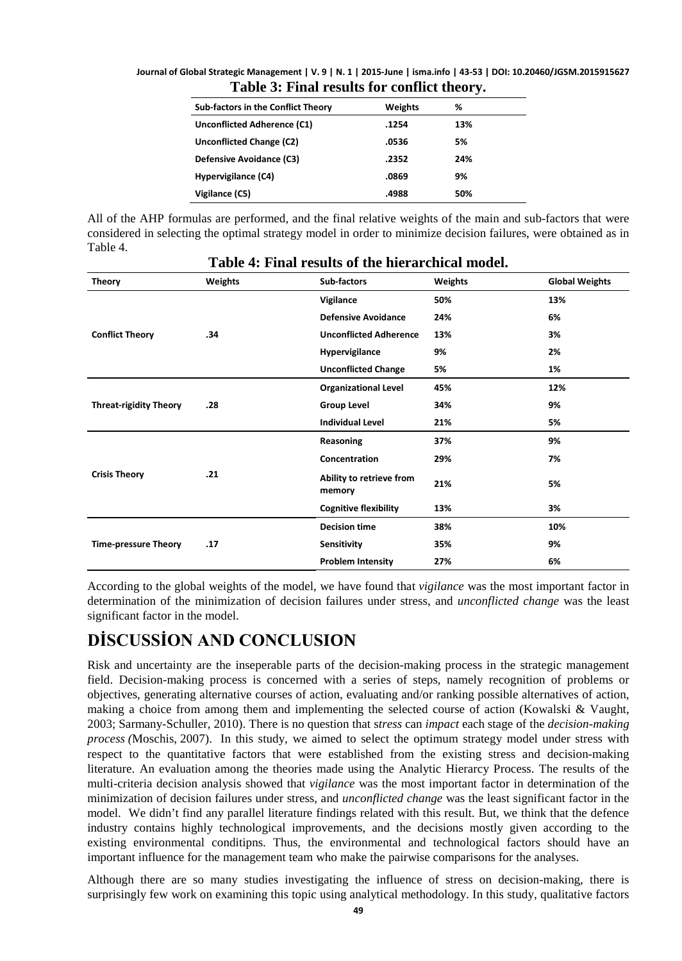**Journal of Global Strategic Management | V. 9 | N. 1 | 2015-June | isma.info | 43-53 | DOI: 10.20460/JGSM.2015915627 Table 3: Final results for conflict theory.**

| <b>Sub-factors in the Conflict Theory</b> | Weights | %   |
|-------------------------------------------|---------|-----|
| Unconflicted Adherence (C1)               | .1254   | 13% |
| Unconflicted Change (C2)                  | .0536   | 5%  |
| Defensive Avoidance (C3)                  | .2352   | 24% |
| Hypervigilance (C4)                       | .0869   | 9%  |
| Vigilance (C5)                            | .4988   | 50% |

All of the AHP formulas are performed, and the final relative weights of the main and sub-factors that were considered in selecting the optimal strategy model in order to minimize decision failures, were obtained as in Table 4.

| <b>Theory</b>                 | <b>Weights</b> | Sub-factors                        | Weights | <b>Global Weights</b> |
|-------------------------------|----------------|------------------------------------|---------|-----------------------|
| <b>Conflict Theory</b>        | .34            | Vigilance                          | 50%     | 13%                   |
|                               |                | <b>Defensive Avoidance</b>         | 24%     | 6%                    |
|                               |                | <b>Unconflicted Adherence</b>      | 13%     | 3%                    |
|                               |                | Hypervigilance                     | 9%      | 2%                    |
|                               |                | <b>Unconflicted Change</b>         | 5%      | 1%                    |
| <b>Threat-rigidity Theory</b> | .28            | <b>Organizational Level</b>        | 45%     | 12%                   |
|                               |                | <b>Group Level</b>                 | 34%     | 9%                    |
|                               |                | <b>Individual Level</b>            | 21%     | 5%                    |
| <b>Crisis Theory</b>          | .21            | Reasoning                          | 37%     | 9%                    |
|                               |                | Concentration                      | 29%     | 7%                    |
|                               |                | Ability to retrieve from<br>memory | 21%     | 5%                    |
|                               |                | <b>Cognitive flexibility</b>       | 13%     | 3%                    |
| <b>Time-pressure Theory</b>   | .17            | <b>Decision time</b>               | 38%     | 10%                   |
|                               |                | Sensitivity                        | 35%     | 9%                    |
|                               |                | <b>Problem Intensity</b>           | 27%     | 6%                    |

#### **Table 4: Final results of the hierarchical model.**

According to the global weights of the model, we have found that *vigilance* was the most important factor in determination of the minimization of decision failures under stress, and *unconflicted change* was the least significant factor in the model.

# **DİSCUSSİON AND CONCLUSION**

Risk and uncertainty are the inseperable parts of the decision-making process in the strategic management field. Decision-making process is concerned with a series of steps, namely recognition of problems or objectives, generating alternative courses of action, evaluating and/or ranking possible alternatives of action, making a choice from among them and implementing the selected course of action (Kowalski & Vaught, 2003; Sarmany-Schuller, 2010). There is no question that s*tress* can *impact* each stage of the *decision-making process (*Moschis, 2007). In this study, we aimed to select the optimum strategy model under stress with respect to the quantitative factors that were established from the existing stress and decision-making literature. An evaluation among the theories made using the Analytic Hierarcy Process. The results of the multi-criteria decision analysis showed that *vigilance* was the most important factor in determination of the minimization of decision failures under stress, and *unconflicted change* was the least significant factor in the model. We didn't find any parallel literature findings related with this result. But, we think that the defence industry contains highly technological improvements, and the decisions mostly given according to the existing environmental conditipns. Thus, the environmental and technological factors should have an important influence for the management team who make the pairwise comparisons for the analyses.

Although there are so many studies investigating the influence of stress on decision-making, there is surprisingly few work on examining this topic using analytical methodology. In this study, qualitative factors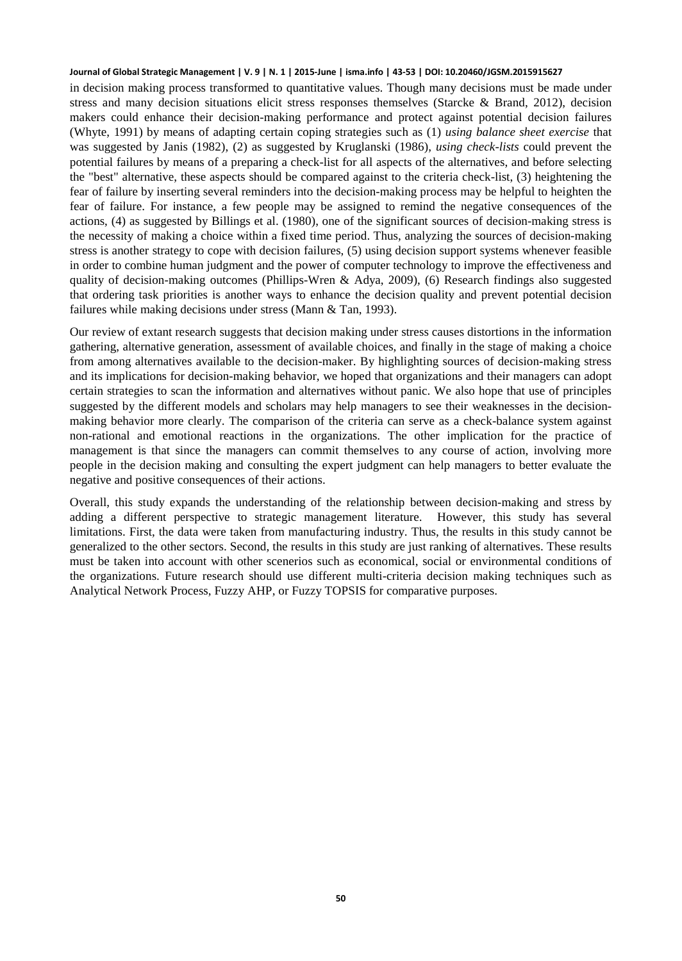in decision making process transformed to quantitative values. Though many decisions must be made under stress and many decision situations elicit stress responses themselves (Starcke & Brand, 2012), decision makers could enhance their decision-making performance and protect against potential decision failures (Whyte, 1991) by means of adapting certain coping strategies such as (1) *using balance sheet exercise* that was suggested by Janis (1982), (2) as suggested by Kruglanski (1986), *using check-lists* could prevent the potential failures by means of a preparing a check-list for all aspects of the alternatives, and before selecting the "best" alternative, these aspects should be compared against to the criteria check-list, (3) heightening the fear of failure by inserting several reminders into the decision-making process may be helpful to heighten the fear of failure. For instance, a few people may be assigned to remind the negative consequences of the actions, (4) as suggested by Billings et al. (1980), one of the significant sources of decision-making stress is the necessity of making a choice within a fixed time period. Thus, analyzing the sources of decision-making stress is another strategy to cope with decision failures, (5) using decision support systems whenever feasible in order to combine human judgment and the power of computer technology to improve the effectiveness and quality of decision-making outcomes (Phillips-Wren & Adya, 2009), (6) Research findings also suggested that ordering task priorities is another ways to enhance the decision quality and prevent potential decision failures while making decisions under stress (Mann & Tan, 1993).

Our review of extant research suggests that decision making under stress causes distortions in the information gathering, alternative generation, assessment of available choices, and finally in the stage of making a choice from among alternatives available to the decision-maker. By highlighting sources of decision-making stress and its implications for decision-making behavior, we hoped that organizations and their managers can adopt certain strategies to scan the information and alternatives without panic. We also hope that use of principles suggested by the different models and scholars may help managers to see their weaknesses in the decisionmaking behavior more clearly. The comparison of the criteria can serve as a check-balance system against non-rational and emotional reactions in the organizations. The other implication for the practice of management is that since the managers can commit themselves to any course of action, involving more people in the decision making and consulting the expert judgment can help managers to better evaluate the negative and positive consequences of their actions.

Overall, this study expands the understanding of the relationship between decision-making and stress by adding a different perspective to strategic management literature. However, this study has several limitations. First, the data were taken from manufacturing industry. Thus, the results in this study cannot be generalized to the other sectors. Second, the results in this study are just ranking of alternatives. These results must be taken into account with other scenerios such as economical, social or environmental conditions of the organizations. Future research should use different multi-criteria decision making techniques such as Analytical Network Process, Fuzzy AHP, or Fuzzy TOPSIS for comparative purposes.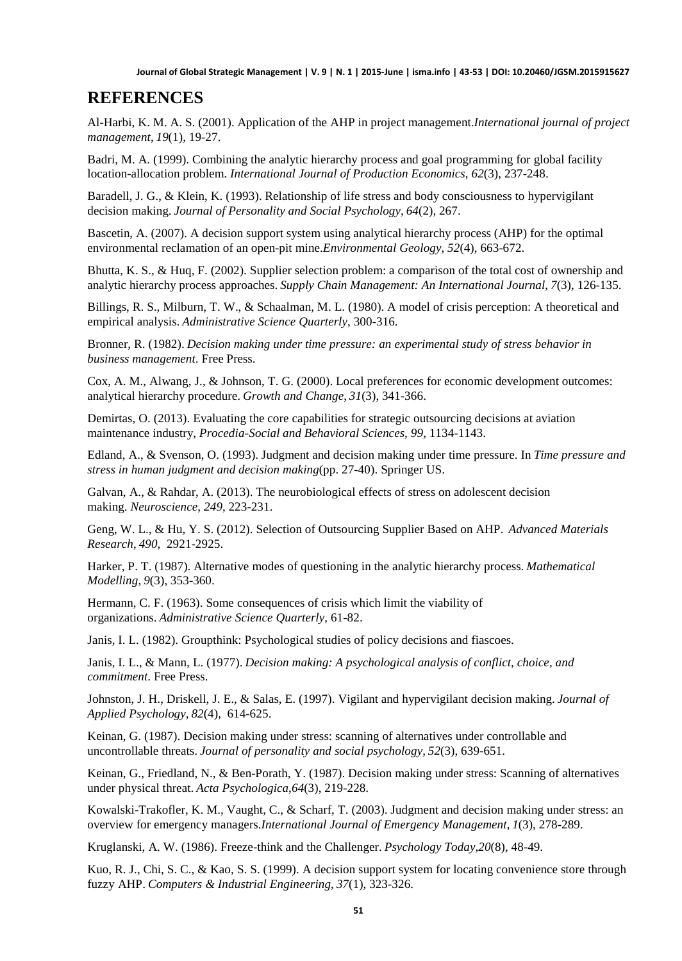# **REFERENCES**

Al-Harbi, K. M. A. S. (2001). Application of the AHP in project management.*International journal of project management*, *19*(1), 19-27.

Badri, M. A. (1999). Combining the analytic hierarchy process and goal programming for global facility location-allocation problem. *International Journal of Production Economics*, *62*(3), 237-248.

Baradell, J. G., & Klein, K. (1993). Relationship of life stress and body consciousness to hypervigilant decision making. *Journal of Personality and Social Psychology*, *64*(2), 267.

Bascetin, A. (2007). A decision support system using analytical hierarchy process (AHP) for the optimal environmental reclamation of an open-pit mine.*Environmental Geology*, *52*(4), 663-672.

Bhutta, K. S., & Huq, F. (2002). Supplier selection problem: a comparison of the total cost of ownership and analytic hierarchy process approaches. *Supply Chain Management: An International Journal*, *7*(3), 126-135.

Billings, R. S., Milburn, T. W., & Schaalman, M. L. (1980). A model of crisis perception: A theoretical and empirical analysis. *Administrative Science Quarterly*, 300-316.

Bronner, R. (1982). *Decision making under time pressure: an experimental study of stress behavior in business management*. Free Press.

Cox, A. M., Alwang, J., & Johnson, T. G. (2000). Local preferences for economic development outcomes: analytical hierarchy procedure. *Growth and Change*, *31*(3), 341-366.

Demirtas, O. (2013). Evaluating the core capabilities for strategic outsourcing decisions at aviation maintenance industry, *Procedia-Social and Behavioral Sciences, 99,* 1134-1143.

Edland, A., & Svenson, O. (1993). Judgment and decision making under time pressure. In *Time pressure and stress in human judgment and decision making*(pp. 27-40). Springer US.

Galvan, A., & Rahdar, A. (2013). The neurobiological effects of stress on adolescent decision making. *Neuroscience*, *249*, 223-231.

Geng, W. L., & Hu, Y. S. (2012). Selection of Outsourcing Supplier Based on AHP. *Advanced Materials Research*, *490*, 2921-2925.

Harker, P. T. (1987). Alternative modes of questioning in the analytic hierarchy process. *Mathematical Modelling*, *9*(3), 353-360.

Hermann, C. F. (1963). Some consequences of crisis which limit the viability of organizations. *Administrative Science Quarterly*, 61-82.

Janis, I. L. (1982). Groupthink: Psychological studies of policy decisions and fiascoes.

Janis, I. L., & Mann, L. (1977). *Decision making: A psychological analysis of conflict, choice, and commitment*. Free Press.

Johnston, J. H., Driskell, J. E., & Salas, E. (1997). Vigilant and hypervigilant decision making. *Journal of Applied Psychology*, *82*(4), 614-625.

Keinan, G. (1987). Decision making under stress: scanning of alternatives under controllable and uncontrollable threats. *Journal of personality and social psychology*, *52*(3), 639-651.

Keinan, G., Friedland, N., & Ben-Porath, Y. (1987). Decision making under stress: Scanning of alternatives under physical threat. *Acta Psychologica*,*64*(3), 219-228.

Kowalski-Trakofler, K. M., Vaught, C., & Scharf, T. (2003). Judgment and decision making under stress: an overview for emergency managers.*International Journal of Emergency Management*, *1*(3), 278-289.

Kruglanski, A. W. (1986). Freeze-think and the Challenger. *Psychology Today*,*20*(8), 48-49.

Kuo, R. J., Chi, S. C., & Kao, S. S. (1999). A decision support system for locating convenience store through fuzzy AHP. *Computers & Industrial Engineering*, *37*(1), 323-326.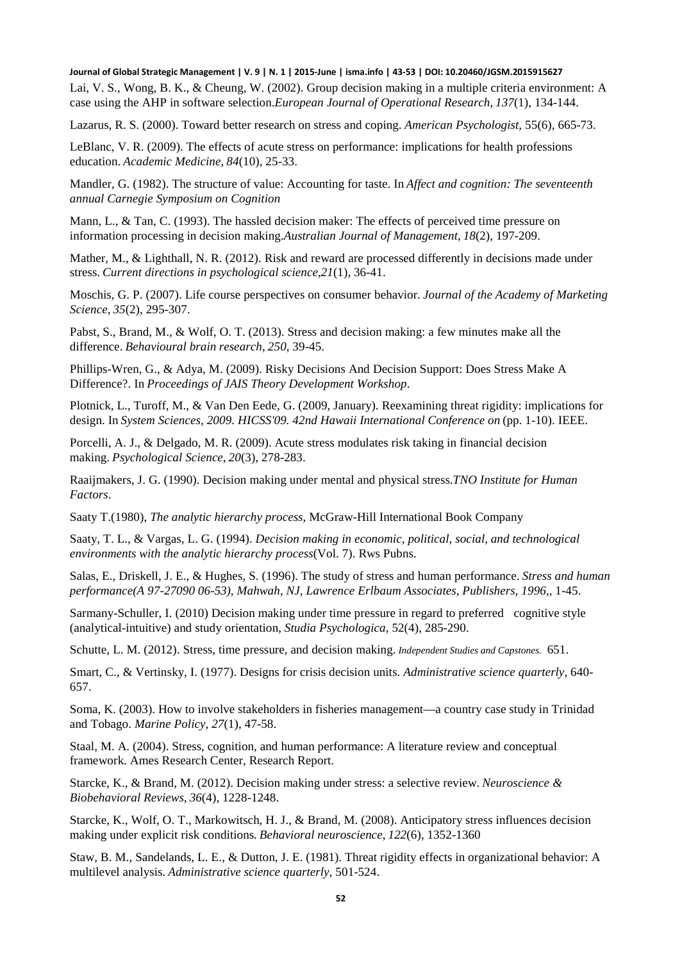Lai, V. S., Wong, B. K., & Cheung, W. (2002). Group decision making in a multiple criteria environment: A case using the AHP in software selection.*European Journal of Operational Research*, *137*(1), 134-144.

Lazarus, R. S. (2000). Toward better research on stress and coping. *American Psychologist*, 55(6), 665-73.

LeBlanc, V. R. (2009). The effects of acute stress on performance: implications for health professions education. *Academic Medicine*, *84*(10), 25-33.

Mandler, G. (1982). The structure of value: Accounting for taste. In *Affect and cognition: The seventeenth annual Carnegie Symposium on Cognition*

Mann, L., & Tan, C. (1993). The hassled decision maker: The effects of perceived time pressure on information processing in decision making.*Australian Journal of Management*, *18*(2), 197-209.

Mather, M., & Lighthall, N. R. (2012). Risk and reward are processed differently in decisions made under stress. *Current directions in psychological science*,*21*(1), 36-41.

Moschis, G. P. (2007). Life course perspectives on consumer behavior. *Journal of the Academy of Marketing Science*, *35*(2), 295-307.

Pabst, S., Brand, M., & Wolf, O. T. (2013). Stress and decision making: a few minutes make all the difference. *Behavioural brain research*, *250*, 39-45.

Phillips-Wren, G., & Adya, M. (2009). Risky Decisions And Decision Support: Does Stress Make A Difference?. In *Proceedings of JAIS Theory Development Workshop*.

Plotnick, L., Turoff, M., & Van Den Eede, G. (2009, January). Reexamining threat rigidity: implications for design. In *System Sciences, 2009. HICSS'09. 42nd Hawaii International Conference on* (pp. 1-10). IEEE.

Porcelli, A. J., & Delgado, M. R. (2009). Acute stress modulates risk taking in financial decision making. *Psychological Science*, *20*(3), 278-283.

Raaijmakers, J. G. (1990). Decision making under mental and physical stress.*TNO Institute for Human Factors*.

Saaty T.(1980), *The analytic hierarchy process*, McGraw-Hill International Book Company

Saaty, T. L., & Vargas, L. G. (1994). *Decision making in economic, political, social, and technological environments with the analytic hierarchy process*(Vol. 7). Rws Pubns.

Salas, E., Driskell, J. E., & Hughes, S. (1996). The study of stress and human performance. *Stress and human performance(A 97-27090 06-53), Mahwah, NJ, Lawrence Erlbaum Associates, Publishers, 1996,*, 1-45.

Sarmany-Schuller, I. (2010) Decision making under time pressure in regard to preferred cognitive style (analytical-intuitive) and study orientation, *Studia Psychologica*, 52(4), 285-290.

Schutte, L. M. (2012). Stress, time pressure, and decision making. *Independent Studies and Capstones.* 651.

Smart, C., & Vertinsky, I. (1977). Designs for crisis decision units. *Administrative science quarterly,* 640- 657.

Soma, K. (2003). How to involve stakeholders in fisheries management—a country case study in Trinidad and Tobago. *Marine Policy*, *27*(1), 47-58.

Staal, M. A. (2004). Stress, cognition, and human performance: A literature review and conceptual framework. Ames Research Center, Research Report.

Starcke, K., & Brand, M. (2012). Decision making under stress: a selective review. *Neuroscience & Biobehavioral Reviews*, *36*(4), 1228-1248.

Starcke, K., Wolf, O. T., Markowitsch, H. J., & Brand, M. (2008). Anticipatory stress influences decision making under explicit risk conditions. *Behavioral neuroscience*, *122*(6), 1352-1360

Staw, B. M., Sandelands, L. E., & Dutton, J. E. (1981). Threat rigidity effects in organizational behavior: A multilevel analysis. *Administrative science quarterly*, 501-524.